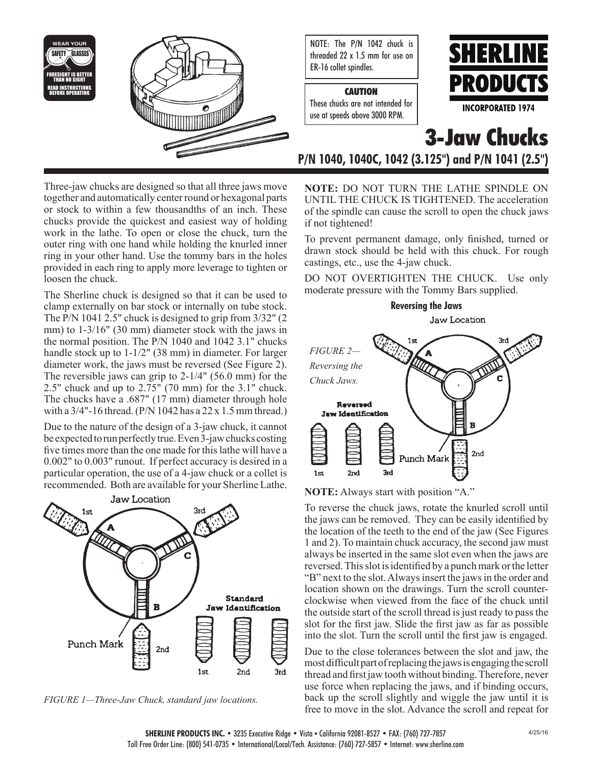

NOTE: The P/N 1042 chuck is threaded 22 x 1.5 mm for use on ER-16 collet spindles.

## **CAUTION**

These chucks are not intended for use at speeds above 3000 RPM.



**3-Jaw Chucks**

**P/N 1040, 1040C, 1042 (3.125") and P/N 1041 (2.5")**

**NOTE:** DO NOT TURN THE LATHE SPINDLE ON UNTIL THE CHUCK IS TIGHTENED. The acceleration of the spindle can cause the scroll to open the chuck jaws if not tightened!

To prevent permanent damage, only finished, turned or drawn stock should be held with this chuck. For rough castings, etc., use the 4-jaw chuck.

DO NOT OVERTIGHTEN THE CHUCK. Use only moderate pressure with the Tommy Bars supplied.



**NOTE:** Always start with position "A."

To reverse the chuck jaws, rotate the knurled scroll until the jaws can be removed. They can be easily identified by the location of the teeth to the end of the jaw (See Figures 1 and 2). To maintain chuck accuracy, the second jaw must always be inserted in the same slot even when the jaws are reversed. This slot is identified by a punch mark or the letter "B" next to the slot. Always insert the jaws in the order and location shown on the drawings. Turn the scroll counterclockwise when viewed from the face of the chuck until the outside start of the scroll thread is just ready to pass the slot for the first jaw. Slide the first jaw as far as possible into the slot. Turn the scroll until the first jaw is engaged.

Due to the close tolerances between the slot and jaw, the most difficult part of replacing the jaws is engaging the scroll thread and first jaw tooth without binding. Therefore, never use force when replacing the jaws, and if binding occurs, back up the scroll slightly and wiggle the jaw until it is free to move in the slot. Advance the scroll and repeat for

Three-jaw chucks are designed so that all three jaws move together and automatically center round or hexagonal parts or stock to within a few thousandths of an inch. These chucks provide the quickest and easiest way of holding work in the lathe. To open or close the chuck, turn the outer ring with one hand while holding the knurled inner ring in your other hand. Use the tommy bars in the holes provided in each ring to apply more leverage to tighten or loosen the chuck.

The Sherline chuck is designed so that it can be used to clamp externally on bar stock or internally on tube stock. The P/N 1041 2.5" chuck is designed to grip from 3/32" (2 mm) to 1-3/16" (30 mm) diameter stock with the jaws in the normal position. The P/N 1040 and 1042 3.1" chucks handle stock up to 1-1/2" (38 mm) in diameter. For larger diameter work, the jaws must be reversed (See Figure 2). The reversible jaws can grip to 2-1/4" (56.0 mm) for the 2.5" chuck and up to 2.75" (70 mm) for the 3.1" chuck. The chucks have a .687" (17 mm) diameter through hole with a 3/4"-16 thread. (P/N 1042 has a 22 x 1.5 mm thread.)

Due to the nature of the design of a 3-jaw chuck, it cannot be expected to run perfectly true. Even 3-jaw chucks costing five times more than the one made for this lathe will have a 0.002" to 0.003" runout. If perfect accuracy is desired in a particular operation, the use of a 4-jaw chuck or a collet is recommended. Both are available for your Sherline Lathe.



*FIGURE 1—Three-Jaw Chuck, standard jaw locations.*